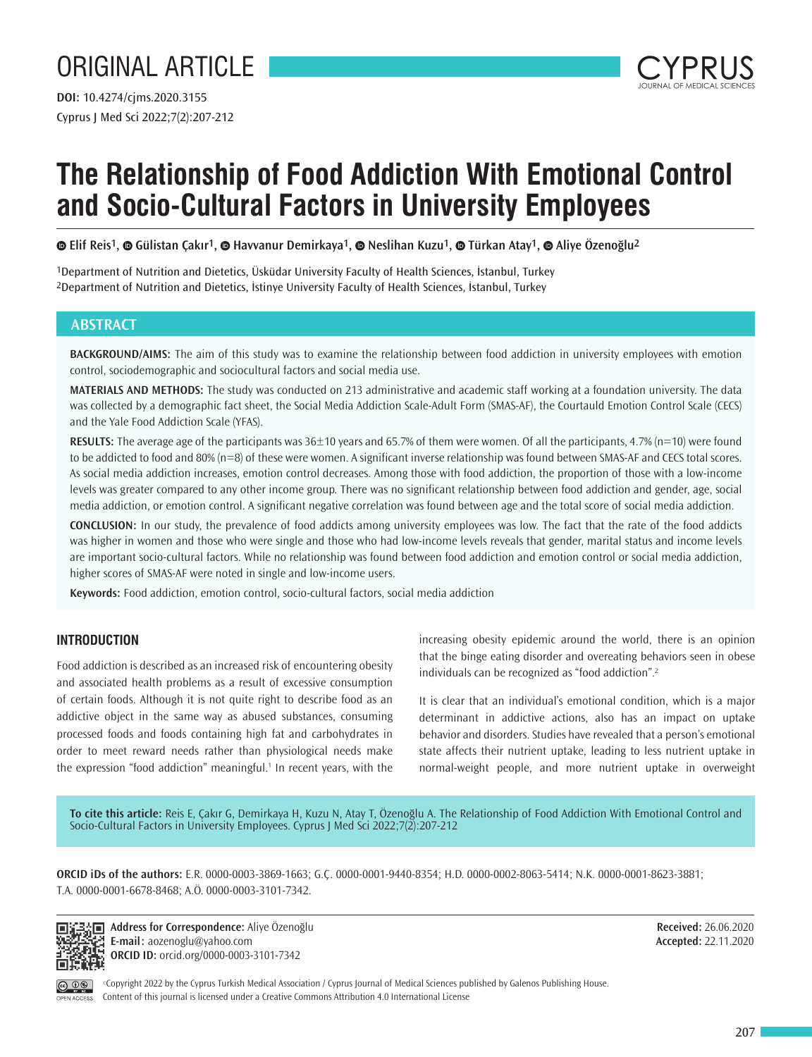# ORIGINAL ARTICLE

Cyprus J Med Sci 2022;7(2):207-212 **DOI:** 10.4274/cjms.2020.3155



# **The Relationship of Food Addiction With Emotional Control and Socio-Cultural Factors in University Employees**

**Elif Reis1,Gülistan Çakır1[,](https://orcid.org/0000-0002-8063-5414) Havvanur Demirkaya1,Neslihan Kuzu1,Türkan Atay1,Aliye Özenoğlu2**

1Department of Nutrition and Dietetics, Üsküdar University Faculty of Health Sciences, İstanbul, Turkey 2Department of Nutrition and Dietetics, İstinye University Faculty of Health Sciences, İstanbul, Turkey

## **ABSTRACT**

**BACKGROUND/AIMS:** The aim of this study was to examine the relationship between food addiction in university employees with emotion control, sociodemographic and sociocultural factors and social media use.

**MATERIALS AND METHODS:** The study was conducted on 213 administrative and academic staff working at a foundation university. The data was collected by a demographic fact sheet, the Social Media Addiction Scale-Adult Form (SMAS-AF), the Courtauld Emotion Control Scale (CECS) and the Yale Food Addiction Scale (YFAS).

**RESULTS:** The average age of the participants was 36±10 years and 65.7% of them were women. Of all the participants, 4.7% (n=10) were found to be addicted to food and 80% (n=8) of these were women. A significant inverse relationship was found between SMAS-AF and CECS total scores. As social media addiction increases, emotion control decreases. Among those with food addiction, the proportion of those with a low-income levels was greater compared to any other income group. There was no significant relationship between food addiction and gender, age, social media addiction, or emotion control. A significant negative correlation was found between age and the total score of social media addiction.

**CONCLUSION:** In our study, the prevalence of food addicts among university employees was low. The fact that the rate of the food addicts was higher in women and those who were single and those who had low-income levels reveals that gender, marital status and income levels are important socio-cultural factors. While no relationship was found between food addiction and emotion control or social media addiction, higher scores of SMAS-AF were noted in single and low-income users.

**Keywords:** Food addiction, emotion control, socio-cultural factors, social media addiction

## **INTRODUCTION**

Food addiction is described as an increased risk of encountering obesity and associated health problems as a result of excessive consumption of certain foods. Although it is not quite right to describe food as an addictive object in the same way as abused substances, consuming processed foods and foods containing high fat and carbohydrates in order to meet reward needs rather than physiological needs make the expression "food addiction" meaningful.<sup>1</sup> In recent years, with the increasing obesity epidemic around the world, there is an opinion that the binge eating disorder and overeating behaviors seen in obese individuals can be recognized as "food addiction".<sup>2</sup>

It is clear that an individual's emotional condition, which is a major determinant in addictive actions, also has an impact on uptake behavior and disorders. Studies have revealed that a person's emotional state affects their nutrient uptake, leading to less nutrient uptake in normal-weight people, and more nutrient uptake in overweight

**To cite this article:** Reis E, Çakır G, Demirkaya H, Kuzu N, Atay T, Özenoğlu A. The Relationship of Food Addiction With Emotional Control and Socio-Cultural Factors in University Employees. Cyprus J Med Sci 2022;7(2):207-212

**ORCID iDs of the authors:** E.R. 0000-0003-3869-1663; G.Ç. 0000-0001-9440-8354; H.D. 0000-0002-8063-5414; N.K. 0000-0001-8623-3881; T.A. 0000-0001-6678-8468; A.Ö. 0000-0003-3101-7342.



**Address for Correspondence:** Aliye Özenoğlu **E-mail:** aozenoglu@yahoo.com **ORCID ID:** orcid.org/0000-0003-3101-7342

**Received:** 26.06.2020 **Accepted:** 22.11.2020

©Copyright 2022 by the Cyprus Turkish Medical Association / Cyprus Journal of Medical Sciences published by Galenos Publishing House. Content of this journal is licensed under a Creative Commons Attribution 4.0 International License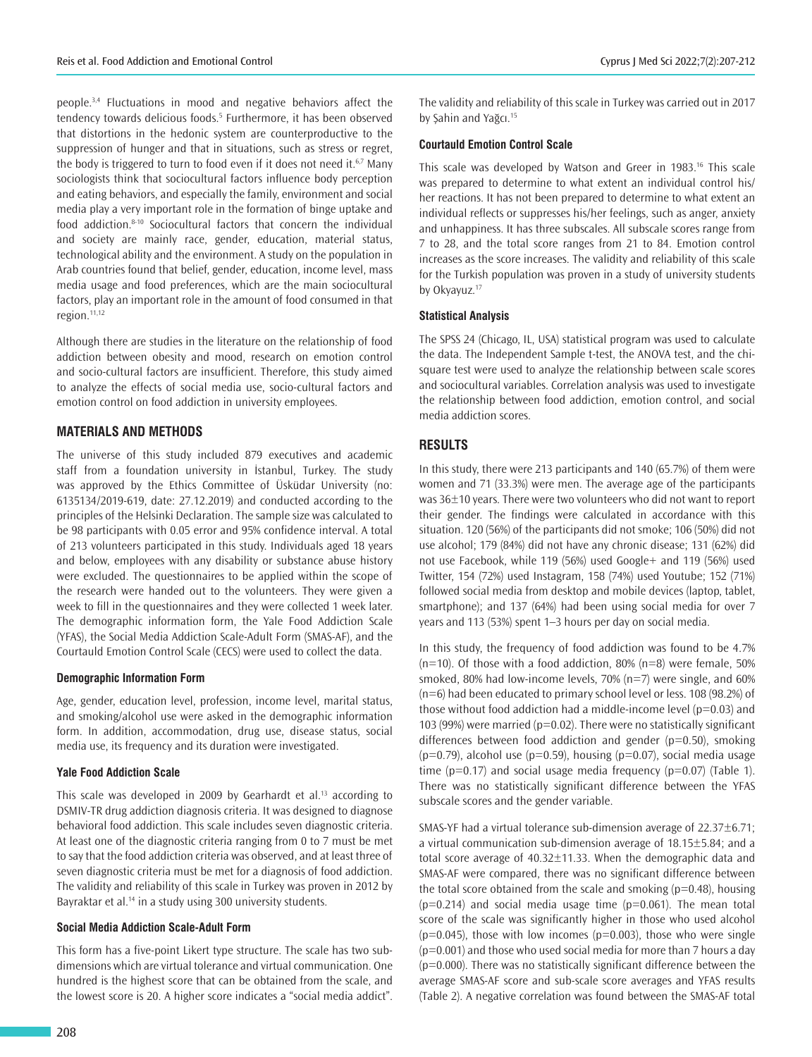people.3,4 Fluctuations in mood and negative behaviors affect the tendency towards delicious foods.<sup>5</sup> Furthermore, it has been observed that distortions in the hedonic system are counterproductive to the suppression of hunger and that in situations, such as stress or regret, the body is triggered to turn to food even if it does not need it.<sup>6,7</sup> Many sociologists think that sociocultural factors influence body perception and eating behaviors, and especially the family, environment and social media play a very important role in the formation of binge uptake and food addiction.8-10 Sociocultural factors that concern the individual and society are mainly race, gender, education, material status, technological ability and the environment. A study on the population in Arab countries found that belief, gender, education, income level, mass media usage and food preferences, which are the main sociocultural factors, play an important role in the amount of food consumed in that region.<sup>11,12</sup>

Although there are studies in the literature on the relationship of food addiction between obesity and mood, research on emotion control and socio-cultural factors are insufficient. Therefore, this study aimed to analyze the effects of social media use, socio-cultural factors and emotion control on food addiction in university employees.

## **MATERIALS AND METHODS**

The universe of this study included 879 executives and academic staff from a foundation university in İstanbul, Turkey. The study was approved by the Ethics Committee of Üsküdar University (no: 6135134/2019-619, date: 27.12.2019) and conducted according to the principles of the Helsinki Declaration. The sample size was calculated to be 98 participants with 0.05 error and 95% confidence interval. A total of 213 volunteers participated in this study. Individuals aged 18 years and below, employees with any disability or substance abuse history were excluded. The questionnaires to be applied within the scope of the research were handed out to the volunteers. They were given a week to fill in the questionnaires and they were collected 1 week later. The demographic information form, the Yale Food Addiction Scale (YFAS), the Social Media Addiction Scale-Adult Form (SMAS-AF), and the Courtauld Emotion Control Scale (CECS) were used to collect the data.

## **Demographic Information Form**

Age, gender, education level, profession, income level, marital status, and smoking/alcohol use were asked in the demographic information form. In addition, accommodation, drug use, disease status, social media use, its frequency and its duration were investigated.

## **Yale Food Addiction Scale**

This scale was developed in 2009 by Gearhardt et al.<sup>13</sup> according to DSMIV-TR drug addiction diagnosis criteria. It was designed to diagnose behavioral food addiction. This scale includes seven diagnostic criteria. At least one of the diagnostic criteria ranging from 0 to 7 must be met to say that the food addiction criteria was observed, and at least three of seven diagnostic criteria must be met for a diagnosis of food addiction. The validity and reliability of this scale in Turkey was proven in 2012 by Bayraktar et al.<sup>14</sup> in a study using 300 university students.

## **Social Media Addiction Scale-Adult Form**

This form has a five-point Likert type structure. The scale has two subdimensions which are virtual tolerance and virtual communication. One hundred is the highest score that can be obtained from the scale, and the lowest score is 20. A higher score indicates a "social media addict".

The validity and reliability of this scale in Turkey was carried out in 2017 by Sahin and Yağcı.<sup>15</sup>

## **Courtauld Emotion Control Scale**

This scale was developed by Watson and Greer in 1983.<sup>16</sup> This scale was prepared to determine to what extent an individual control his/ her reactions. It has not been prepared to determine to what extent an individual reflects or suppresses his/her feelings, such as anger, anxiety and unhappiness. It has three subscales. All subscale scores range from 7 to 28, and the total score ranges from 21 to 84. Emotion control increases as the score increases. The validity and reliability of this scale for the Turkish population was proven in a study of university students by Okyavuz.<sup>17</sup>

## **Statistical Analysis**

The SPSS 24 (Chicago, IL, USA) statistical program was used to calculate the data. The Independent Sample t-test, the ANOVA test, and the chisquare test were used to analyze the relationship between scale scores and sociocultural variables. Correlation analysis was used to investigate the relationship between food addiction, emotion control, and social media addiction scores.

## **RESULTS**

In this study, there were 213 participants and 140 (65.7%) of them were women and 71 (33.3%) were men. The average age of the participants was 36±10 years. There were two volunteers who did not want to report their gender. The findings were calculated in accordance with this situation. 120 (56%) of the participants did not smoke; 106 (50%) did not use alcohol; 179 (84%) did not have any chronic disease; 131 (62%) did not use Facebook, while 119 (56%) used Google+ and 119 (56%) used Twitter, 154 (72%) used Instagram, 158 (74%) used Youtube; 152 (71%) followed social media from desktop and mobile devices (laptop, tablet, smartphone); and 137 (64%) had been using social media for over 7 years and 113 (53%) spent 1–3 hours per day on social media.

In this study, the frequency of food addiction was found to be 4.7%  $(n=10)$ . Of those with a food addiction, 80%  $(n=8)$  were female, 50% smoked, 80% had low-income levels, 70% (n=7) were single, and 60% (n=6) had been educated to primary school level or less. 108 (98.2%) of those without food addiction had a middle-income level ( $p=0.03$ ) and 103 (99%) were married ( $p=0.02$ ). There were no statistically significant differences between food addiction and gender ( $p=0.50$ ), smoking  $(p=0.79)$ , alcohol use  $(p=0.59)$ , housing  $(p=0.07)$ , social media usage time ( $p=0.17$ ) and social usage media frequency ( $p=0.07$ ) (Table 1). There was no statistically significant difference between the YFAS subscale scores and the gender variable.

SMAS-YF had a virtual tolerance sub-dimension average of 22.37±6.71; a virtual communication sub-dimension average of 18.15±5.84; and a total score average of 40.32±11.33. When the demographic data and SMAS-AF were compared, there was no significant difference between the total score obtained from the scale and smoking  $(p=0.48)$ , housing  $(p=0.214)$  and social media usage time  $(p=0.061)$ . The mean total score of the scale was significantly higher in those who used alcohol  $(p=0.045)$ , those with low incomes  $(p=0.003)$ , those who were single  $(p=0.001)$  and those who used social media for more than 7 hours a day  $(p=0.000)$ . There was no statistically significant difference between the average SMAS-AF score and sub-scale score averages and YFAS results (Table 2). A negative correlation was found between the SMAS-AF total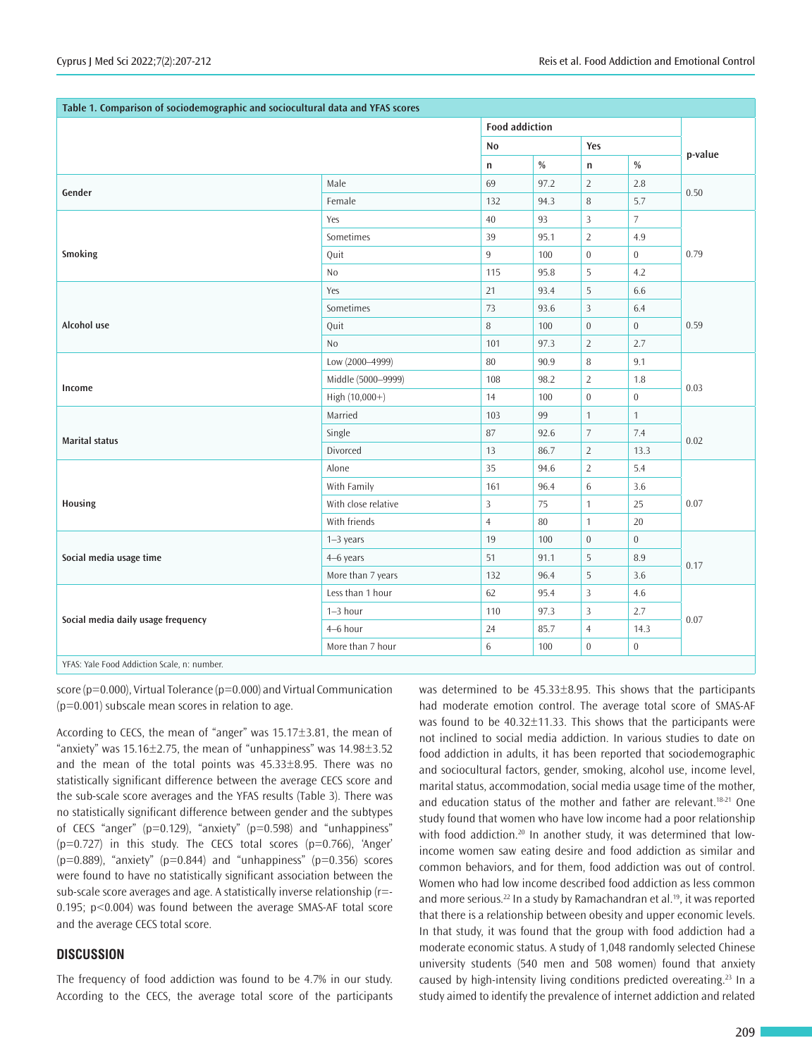| Table 1. Comparison of sociodemographic and sociocultural data and YFAS scores |                     |                       |      |                  |                  |         |  |
|--------------------------------------------------------------------------------|---------------------|-----------------------|------|------------------|------------------|---------|--|
|                                                                                |                     | <b>Food addiction</b> |      |                  |                  |         |  |
|                                                                                |                     | <b>No</b>             |      | Yes              |                  |         |  |
|                                                                                |                     | $\mathsf{n}$          | $\%$ | n                | $\%$             | p-value |  |
| Gender                                                                         | Male                | 69                    | 97.2 | $\overline{2}$   | 2.8              | 0.50    |  |
|                                                                                | Female              | 132                   | 94.3 | 8                | 5.7              |         |  |
|                                                                                | Yes                 | 40                    | 93   | 3                | 7                | 0.79    |  |
|                                                                                | Sometimes           | 39                    | 95.1 | $\overline{2}$   | 4.9              |         |  |
| Smoking                                                                        | Quit                | $\overline{9}$        | 100  | $\boldsymbol{0}$ | $\overline{0}$   |         |  |
|                                                                                | N <sub>0</sub>      | 115                   | 95.8 | 5                | 4.2              |         |  |
|                                                                                | Yes                 | 21                    | 93.4 | 5                | $6.6\,$          |         |  |
|                                                                                | Sometimes           | 73                    | 93.6 | $\overline{3}$   | 6.4              |         |  |
| Alcohol use                                                                    | Quit                | 8                     | 100  | $\mathbf{0}$     | $\overline{0}$   | 0.59    |  |
|                                                                                | No                  | 101                   | 97.3 | $\overline{2}$   | 2.7              |         |  |
|                                                                                | Low (2000-4999)     | $80\,$                | 90.9 | 8                | 9.1              | 0.03    |  |
| Income                                                                         | Middle (5000-9999)  | 108                   | 98.2 | $\overline{2}$   | 1.8              |         |  |
|                                                                                | High (10,000+)      | 14                    | 100  | $\boldsymbol{0}$ | $\boldsymbol{0}$ |         |  |
|                                                                                | Married             | 103                   | 99   | $\mathbf{1}$     | $\mathbf{1}$     | 0.02    |  |
| <b>Marital status</b>                                                          | Single              | 87                    | 92.6 | $\overline{7}$   | 7.4              |         |  |
|                                                                                | Divorced            | 13                    | 86.7 | $\overline{2}$   | 13.3             |         |  |
|                                                                                | Alone               | 35                    | 94.6 | $\overline{2}$   | 5.4              |         |  |
| Housing                                                                        | With Family         | 161                   | 96.4 | 6                | 3.6              | 0.07    |  |
|                                                                                | With close relative | $\mathbf{3}$          | 75   | $\mathbf{1}$     | 25               |         |  |
|                                                                                | With friends        | $\overline{4}$        | 80   | $\mathbf{1}$     | 20               |         |  |
| Social media usage time                                                        | $1-3$ years         | 19                    | 100  | $\boldsymbol{0}$ | $\overline{0}$   | 0.17    |  |
|                                                                                | 4-6 years           | 51                    | 91.1 | 5                | 8.9              |         |  |
|                                                                                | More than 7 years   | 132                   | 96.4 | 5                | 3.6              |         |  |
| Social media daily usage frequency                                             | Less than 1 hour    | 62                    | 95.4 | 3                | 4.6              | 0.07    |  |
|                                                                                | $1 - 3$ hour        | 110                   | 97.3 | 3                | 2.7              |         |  |
|                                                                                | 4-6 hour            | 24                    | 85.7 | $\overline{4}$   | 14.3             |         |  |
|                                                                                | More than 7 hour    | $\,6\,$               | 100  | $\boldsymbol{0}$ | $\boldsymbol{0}$ |         |  |
| YFAS: Yale Food Addiction Scale, n: number.                                    |                     |                       |      |                  |                  |         |  |

score (p=0.000), Virtual Tolerance (p=0.000) and Virtual Communication (p=0.001) subscale mean scores in relation to age.

According to CECS, the mean of "anger" was 15.17±3.81, the mean of "anxiety" was  $15.16 \pm 2.75$ , the mean of "unhappiness" was  $14.98 \pm 3.52$ and the mean of the total points was 45.33±8.95. There was no statistically significant difference between the average CECS score and the sub-scale score averages and the YFAS results (Table 3). There was no statistically significant difference between gender and the subtypes of CECS "anger" ( $p=0.129$ ), "anxiety" ( $p=0.598$ ) and "unhappiness"  $(p=0.727)$  in this study. The CECS total scores  $(p=0.766)$ , 'Anger'  $(p=0.889)$ , "anxiety" ( $p=0.844$ ) and "unhappiness" ( $p=0.356$ ) scores were found to have no statistically significant association between the sub-scale score averages and age. A statistically inverse relationship (r=- 0.195; p<0.004) was found between the average SMAS-AF total score and the average CECS total score.

## **DISCUSSION**

The frequency of food addiction was found to be 4.7% in our study. According to the CECS, the average total score of the participants

was determined to be 45.33±8.95. This shows that the participants had moderate emotion control. The average total score of SMAS-AF was found to be 40.32±11.33. This shows that the participants were not inclined to social media addiction. In various studies to date on food addiction in adults, it has been reported that sociodemographic and sociocultural factors, gender, smoking, alcohol use, income level, marital status, accommodation, social media usage time of the mother, and education status of the mother and father are relevant.<sup>18-21</sup> One study found that women who have low income had a poor relationship with food addiction.<sup>20</sup> In another study, it was determined that lowincome women saw eating desire and food addiction as similar and common behaviors, and for them, food addiction was out of control. Women who had low income described food addiction as less common and more serious.<sup>22</sup> In a study by Ramachandran et al.<sup>19</sup>, it was reported that there is a relationship between obesity and upper economic levels. In that study, it was found that the group with food addiction had a moderate economic status. A study of 1,048 randomly selected Chinese university students (540 men and 508 women) found that anxiety caused by high-intensity living conditions predicted overeating.<sup>23</sup> In a study aimed to identify the prevalence of internet addiction and related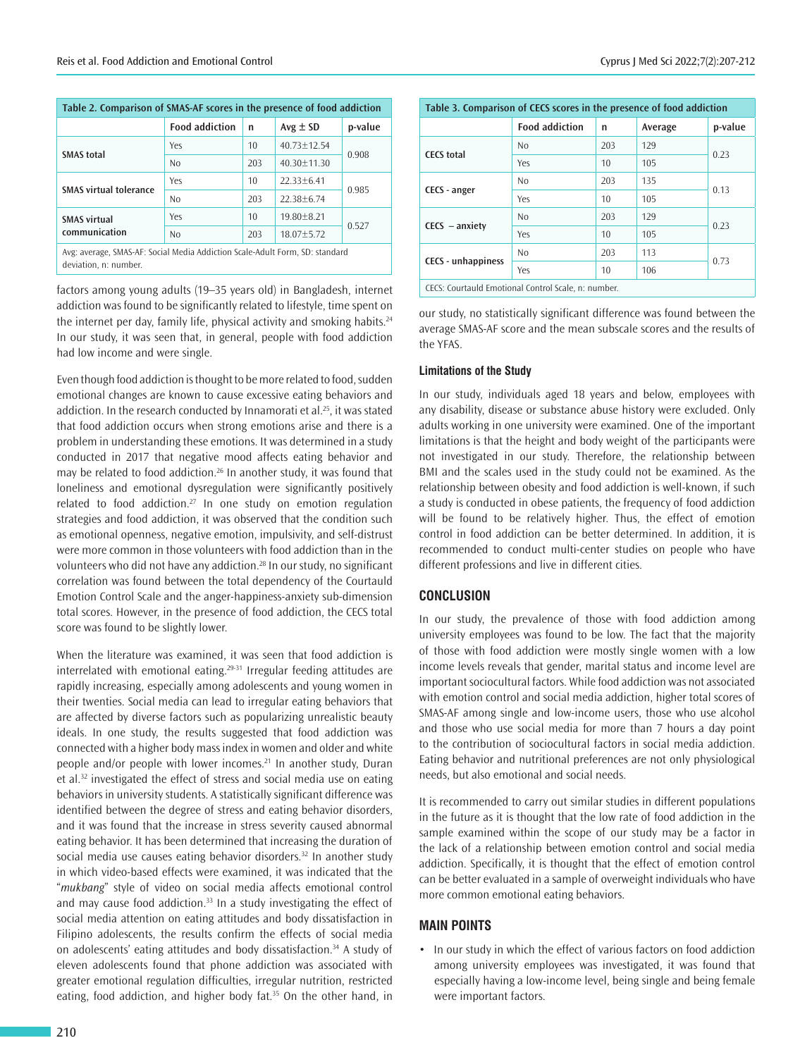| Table 2. Comparison of SMAS-AF scores in the presence of food addiction      |                       |     |                 |         |  |  |  |
|------------------------------------------------------------------------------|-----------------------|-----|-----------------|---------|--|--|--|
|                                                                              | <b>Food addiction</b> | n   | $Avg \pm SD$    | p-value |  |  |  |
| <b>SMAS</b> total                                                            | Yes                   | 10  | $40.73 + 12.54$ | 0.908   |  |  |  |
|                                                                              | No                    | 203 | $40.30 + 11.30$ |         |  |  |  |
| <b>SMAS virtual tolerance</b>                                                | Yes                   | 10  | $22.33 + 6.41$  | 0.985   |  |  |  |
|                                                                              | No                    | 203 | $22.38 + 6.74$  |         |  |  |  |
| <b>SMAS virtual</b><br>communication                                         | Yes                   | 10  | $19.80 + 8.21$  | 0.527   |  |  |  |
|                                                                              | No                    | 203 | $18.07 + 5.72$  |         |  |  |  |
| Avg: average, SMAS-AF: Social Media Addiction Scale-Adult Form, SD: standard |                       |     |                 |         |  |  |  |

deviation, n: number.

factors among young adults (19–35 years old) in Bangladesh, internet addiction was found to be significantly related to lifestyle, time spent on the internet per day, family life, physical activity and smoking habits.<sup>24</sup> In our study, it was seen that, in general, people with food addiction had low income and were single.

Even though food addiction is thought to be more related to food, sudden emotional changes are known to cause excessive eating behaviors and addiction. In the research conducted by Innamorati et al.<sup>25</sup>, it was stated that food addiction occurs when strong emotions arise and there is a problem in understanding these emotions. It was determined in a study conducted in 2017 that negative mood affects eating behavior and may be related to food addiction.<sup>26</sup> In another study, it was found that loneliness and emotional dysregulation were significantly positively related to food addiction.<sup>27</sup> In one study on emotion regulation strategies and food addiction, it was observed that the condition such as emotional openness, negative emotion, impulsivity, and self-distrust were more common in those volunteers with food addiction than in the volunteers who did not have any addiction.<sup>28</sup> In our study, no significant correlation was found between the total dependency of the Courtauld Emotion Control Scale and the anger-happiness-anxiety sub-dimension total scores. However, in the presence of food addiction, the CECS total score was found to be slightly lower.

When the literature was examined, it was seen that food addiction is interrelated with emotional eating.29-31 Irregular feeding attitudes are rapidly increasing, especially among adolescents and young women in their twenties. Social media can lead to irregular eating behaviors that are affected by diverse factors such as popularizing unrealistic beauty ideals. In one study, the results suggested that food addiction was connected with a higher body mass index in women and older and white people and/or people with lower incomes.<sup>21</sup> In another study, Duran et al.<sup>32</sup> investigated the effect of stress and social media use on eating behaviors in university students. A statistically significant difference was identified between the degree of stress and eating behavior disorders, and it was found that the increase in stress severity caused abnormal eating behavior. It has been determined that increasing the duration of social media use causes eating behavior disorders.<sup>32</sup> In another study in which video-based effects were examined, it was indicated that the "*mukbang*" style of video on social media affects emotional control and may cause food addiction.<sup>33</sup> In a study investigating the effect of social media attention on eating attitudes and body dissatisfaction in Filipino adolescents, the results confirm the effects of social media on adolescents' eating attitudes and body dissatisfaction.<sup>34</sup> A study of eleven adolescents found that phone addiction was associated with greater emotional regulation difficulties, irregular nutrition, restricted eating, food addiction, and higher body fat.<sup>35</sup> On the other hand, in

| Table 3. Comparison of CECS scores in the presence of food addiction |                       |     |         |         |  |  |
|----------------------------------------------------------------------|-----------------------|-----|---------|---------|--|--|
|                                                                      | <b>Food addiction</b> | n   | Average | p-value |  |  |
| <b>CECS</b> total                                                    | N <sub>o</sub>        | 203 | 129     | 0.23    |  |  |
|                                                                      | Yes                   | 10  | 105     |         |  |  |
| CECS - anger                                                         | N <sub>o</sub>        | 203 | 135     | 0.13    |  |  |
|                                                                      | Yes                   | 10  | 105     |         |  |  |
| $CECS - anxietv$                                                     | N <sub>0</sub>        | 203 | 129     | 0.23    |  |  |
|                                                                      | Yes                   | 10  | 105     |         |  |  |
| <b>CECS</b> - unhappiness                                            | N <sub>0</sub>        | 203 | 113     | 0.73    |  |  |
|                                                                      | Yes                   | 10  | 106     |         |  |  |
| CECS: Courtauld Emotional Control Scale, n: number.                  |                       |     |         |         |  |  |

our study, no statistically significant difference was found between the average SMAS-AF score and the mean subscale scores and the results of the YFAS.

## **Limitations of the Study**

In our study, individuals aged 18 years and below, employees with any disability, disease or substance abuse history were excluded. Only adults working in one university were examined. One of the important limitations is that the height and body weight of the participants were not investigated in our study. Therefore, the relationship between BMI and the scales used in the study could not be examined. As the relationship between obesity and food addiction is well-known, if such a study is conducted in obese patients, the frequency of food addiction will be found to be relatively higher. Thus, the effect of emotion control in food addiction can be better determined. In addition, it is recommended to conduct multi-center studies on people who have different professions and live in different cities.

## **CONCLUSION**

In our study, the prevalence of those with food addiction among university employees was found to be low. The fact that the majority of those with food addiction were mostly single women with a low income levels reveals that gender, marital status and income level are important sociocultural factors. While food addiction was not associated with emotion control and social media addiction, higher total scores of SMAS-AF among single and low-income users, those who use alcohol and those who use social media for more than 7 hours a day point to the contribution of sociocultural factors in social media addiction. Eating behavior and nutritional preferences are not only physiological needs, but also emotional and social needs.

It is recommended to carry out similar studies in different populations in the future as it is thought that the low rate of food addiction in the sample examined within the scope of our study may be a factor in the lack of a relationship between emotion control and social media addiction. Specifically, it is thought that the effect of emotion control can be better evaluated in a sample of overweight individuals who have more common emotional eating behaviors.

## **MAIN POINTS**

• In our study in which the effect of various factors on food addiction among university employees was investigated, it was found that especially having a low-income level, being single and being female were important factors.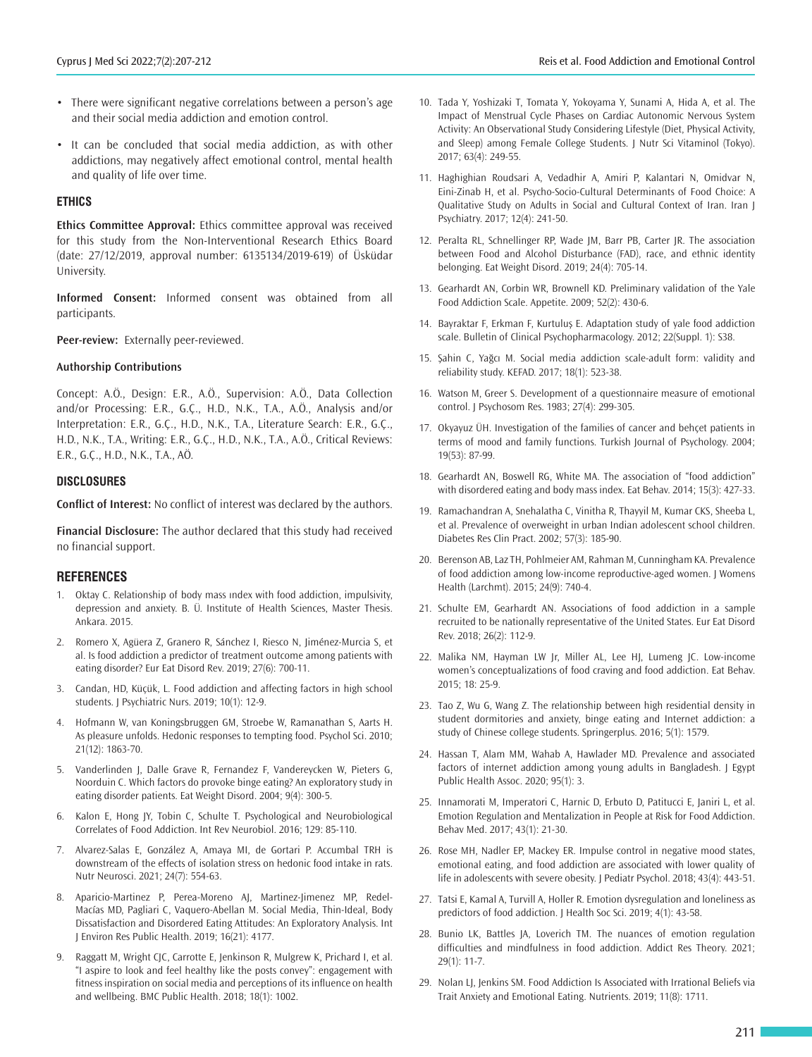- There were significant negative correlations between a person's age and their social media addiction and emotion control.
- It can be concluded that social media addiction, as with other addictions, may negatively affect emotional control, mental health and quality of life over time.

## **ETHICS**

**Ethics Committee Approval:** Ethics committee approval was received for this study from the Non-Interventional Research Ethics Board (date: 27/12/2019, approval number: 6135134/2019-619) of Üsküdar University.

**Informed Consent:** Informed consent was obtained from all participants.

**Peer-review:** Externally peer-reviewed.

#### **Authorship Contributions**

Concept: A.Ö., Design: E.R., A.Ö., Supervision: A.Ö., Data Collection and/or Processing: E.R., G.Ç., H.D., N.K., T.A., A.Ö., Analysis and/or Interpretation: E.R., G.Ç., H.D., N.K., T.A., Literature Search: E.R., G.Ç., H.D., N.K., T.A., Writing: E.R., G.Ç., H.D., N.K., T.A., A.Ö., Critical Reviews: E.R., G.Ç., H.D., N.K., T.A., AÖ.

#### **DISCLOSURES**

**Conflict of Interest:** No conflict of interest was declared by the authors.

**Financial Disclosure:** The author declared that this study had received no financial support.

#### **REFERENCES**

- 1. Oktay C. Relationship of body mass ındex with food addiction, impulsivity, depression and anxiety. B. Ü. Institute of Health Sciences, Master Thesis. Ankara. 2015.
- 2. Romero X, Agüera Z, Granero R, Sánchez I, Riesco N, Jiménez-Murcia S, et al. Is food addiction a predictor of treatment outcome among patients with eating disorder? Eur Eat Disord Rev. 2019; 27(6): 700-11.
- 3. Candan, HD, Küçük, L. Food addiction and affecting factors in high school students. J Psychiatric Nurs. 2019; 10(1): 12-9.
- 4. Hofmann W, van Koningsbruggen GM, Stroebe W, Ramanathan S, Aarts H. As pleasure unfolds. Hedonic responses to tempting food. Psychol Sci. 2010; 21(12): 1863-70.
- 5. Vanderlinden J, Dalle Grave R, Fernandez F, Vandereycken W, Pieters G, Noorduin C. Which factors do provoke binge eating? An exploratory study in eating disorder patients. Eat Weight Disord. 2004; 9(4): 300-5.
- 6. Kalon E, Hong JY, Tobin C, Schulte T. Psychological and Neurobiological Correlates of Food Addiction. Int Rev Neurobiol. 2016; 129: 85-110.
- 7. Alvarez-Salas E, González A, Amaya MI, de Gortari P. Accumbal TRH is downstream of the effects of isolation stress on hedonic food intake in rats. Nutr Neurosci. 2021; 24(7): 554-63.
- 8. Aparicio-Martinez P, Perea-Moreno AJ, Martinez-Jimenez MP, Redel-Macías MD, Pagliari C, Vaquero-Abellan M. Social Media, Thin-Ideal, Body Dissatisfaction and Disordered Eating Attitudes: An Exploratory Analysis. Int J Environ Res Public Health. 2019; 16(21): 4177.
- Raggatt M, Wright CJC, Carrotte E, Jenkinson R, Mulgrew K, Prichard I, et al. "I aspire to look and feel healthy like the posts convey": engagement with fitness inspiration on social media and perceptions of its influence on health and wellbeing. BMC Public Health. 2018; 18(1): 1002.
- 10. Tada Y, Yoshizaki T, Tomata Y, Yokoyama Y, Sunami A, Hida A, et al. The Impact of Menstrual Cycle Phases on Cardiac Autonomic Nervous System Activity: An Observational Study Considering Lifestyle (Diet, Physical Activity, and Sleep) among Female College Students. J Nutr Sci Vitaminol (Tokyo). 2017; 63(4): 249-55.
- 11. Haghighian Roudsari A, Vedadhir A, Amiri P, Kalantari N, Omidvar N, Eini-Zinab H, et al. Psycho-Socio-Cultural Determinants of Food Choice: A Qualitative Study on Adults in Social and Cultural Context of Iran. Iran J Psychiatry. 2017; 12(4): 241-50.
- 12. Peralta RL, Schnellinger RP, Wade JM, Barr PB, Carter JR. The association between Food and Alcohol Disturbance (FAD), race, and ethnic identity belonging. Eat Weight Disord. 2019; 24(4): 705-14.
- 13. Gearhardt AN, Corbin WR, Brownell KD. Preliminary validation of the Yale Food Addiction Scale. Appetite. 2009; 52(2): 430-6.
- 14. Bayraktar F, Erkman F, Kurtuluş E. Adaptation study of yale food addiction scale. Bulletin of Clinical Psychopharmacology. 2012; 22(Suppl. 1): S38.
- 15. Şahin C, Yağcı M. Social media addiction scale-adult form: validity and reliability study. KEFAD. 2017; 18(1): 523-38.
- 16. Watson M, Greer S. Development of a questionnaire measure of emotional control. J Psychosom Res. 1983; 27(4): 299-305.
- 17. Okyayuz ÜH. Investigation of the families of cancer and behçet patients in terms of mood and family functions. Turkish Journal of Psychology. 2004; 19(53): 87-99.
- 18. Gearhardt AN, Boswell RG, White MA. The association of "food addiction" with disordered eating and body mass index. Eat Behav. 2014; 15(3): 427-33.
- 19. Ramachandran A, Snehalatha C, Vinitha R, Thayyil M, Kumar CKS, Sheeba L, et al. Prevalence of overweight in urban Indian adolescent school children. Diabetes Res Clin Pract. 2002; 57(3): 185-90.
- 20. Berenson AB, Laz TH, Pohlmeier AM, Rahman M, Cunningham KA. Prevalence of food addiction among low-income reproductive-aged women. J Womens Health (Larchmt). 2015; 24(9): 740-4.
- 21. Schulte EM, Gearhardt AN. Associations of food addiction in a sample recruited to be nationally representative of the United States. Eur Eat Disord Rev. 2018; 26(2): 112-9.
- 22. Malika NM, Hayman LW Jr, Miller AL, Lee HJ, Lumeng JC. Low-income women's conceptualizations of food craving and food addiction. Eat Behav. 2015; 18: 25-9.
- 23. Tao Z, Wu G, Wang Z. The relationship between high residential density in student dormitories and anxiety, binge eating and Internet addiction: a study of Chinese college students. Springerplus. 2016; 5(1): 1579.
- 24. Hassan T, Alam MM, Wahab A, Hawlader MD. Prevalence and associated factors of internet addiction among young adults in Bangladesh. J Egypt Public Health Assoc. 2020; 95(1): 3.
- 25. Innamorati M, Imperatori C, Harnic D, Erbuto D, Patitucci E, Janiri L, et al. Emotion Regulation and Mentalization in People at Risk for Food Addiction. Behav Med. 2017; 43(1): 21-30.
- 26. Rose MH, Nadler EP, Mackey ER. Impulse control in negative mood states, emotional eating, and food addiction are associated with lower quality of life in adolescents with severe obesity. J Pediatr Psychol. 2018; 43(4): 443-51.
- 27. Tatsi E, Kamal A, Turvill A, Holler R. Emotion dysregulation and loneliness as predictors of food addiction. J Health Soc Sci. 2019; 4(1): 43-58.
- 28. Bunio LK, Battles JA, Loverich TM. The nuances of emotion regulation difficulties and mindfulness in food addiction. Addict Res Theory. 2021; 29(1): 11-7.
- 29. Nolan LJ, Jenkins SM. Food Addiction Is Associated with Irrational Beliefs via Trait Anxiety and Emotional Eating. Nutrients. 2019; 11(8): 1711.